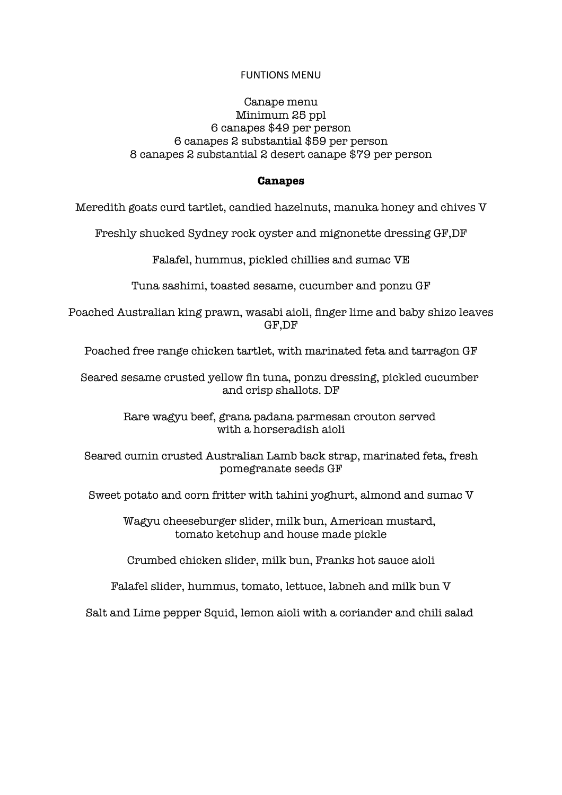#### FUNTIONS MENU

### Canape menu Minimum 25 ppl 6 canapes \$49 per person 6 canapes 2 substantial \$59 per person 8 canapes 2 substantial 2 desert canape \$79 per person

#### **Canapes**

Meredith goats curd tartlet, candied hazelnuts, manuka honey and chives V

Freshly shucked Sydney rock oyster and mignonette dressing GF,DF

Falafel, hummus, pickled chillies and sumac VE

Tuna sashimi, toasted sesame, cucumber and ponzu GF

Poached Australian king prawn, wasabi aioli, finger lime and baby shizo leaves GF,DF

Poached free range chicken tartlet, with marinated feta and tarragon GF

Seared sesame crusted yellow fin tuna, ponzu dressing, pickled cucumber and crisp shallots. DF

> Rare wagyu beef, grana padana parmesan crouton served with a horseradish aioli

Seared cumin crusted Australian Lamb back strap, marinated feta, fresh pomegranate seeds GF

Sweet potato and corn fritter with tahini yoghurt, almond and sumac V

Wagyu cheeseburger slider, milk bun, American mustard, tomato ketchup and house made pickle

Crumbed chicken slider, milk bun, Franks hot sauce aioli

Falafel slider, hummus, tomato, lettuce, labneh and milk bun V

Salt and Lime pepper Squid, lemon aioli with a coriander and chili salad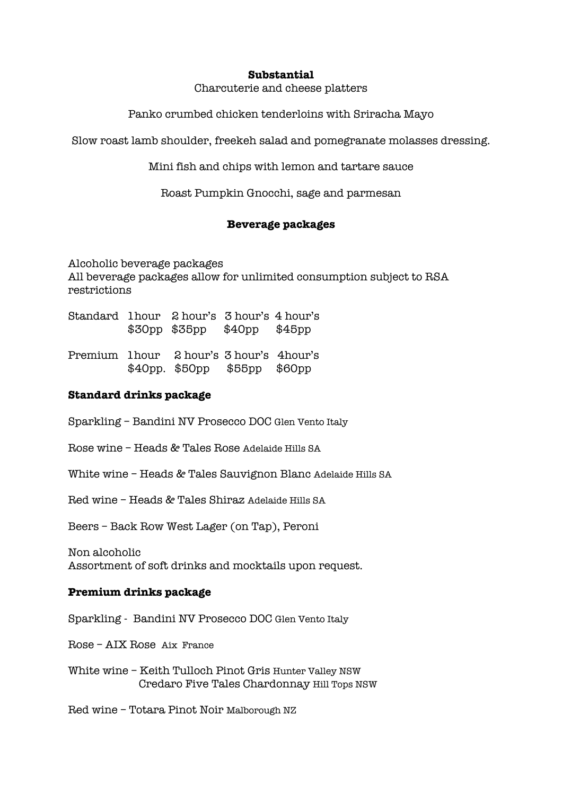#### **Substantial**

Charcuterie and cheese platters

Panko crumbed chicken tenderloins with Sriracha Mayo

Slow roast lamb shoulder, freekeh salad and pomegranate molasses dressing.

Mini fish and chips with lemon and tartare sauce

Roast Pumpkin Gnocchi, sage and parmesan

## **Beverage packages**

Alcoholic beverage packages All beverage packages allow for unlimited consumption subject to RSA restrictions

- Standard 1hour 2 hour's 3 hour's 4 hour's \$30pp \$35pp \$40pp \$45pp
- Premium 1hour 2 hour's 3 hour's 4hour's \$40pp. \$50pp \$55pp \$60pp

### **Standard drinks package**

- Sparkling Bandini NV Prosecco DOC Glen Vento Italy
- Rose wine Heads & Tales Rose Adelaide Hills SA
- White wine Heads & Tales Sauvignon Blanc Adelaide Hills SA

Red wine – Heads & Tales Shiraz Adelaide Hills SA

Beers – Back Row West Lager (on Tap), Peroni

Non alcoholic Assortment of soft drinks and mocktails upon request.

### **Premium drinks package**

- Sparkling Bandini NV Prosecco DOC Glen Vento Italy
- Rose AIX Rose Aix France
- White wine Keith Tulloch Pinot Gris Hunter Valley NSW Credaro Five Tales Chardonnay Hill Tops NSW

Red wine – Totara Pinot Noir Malborough NZ